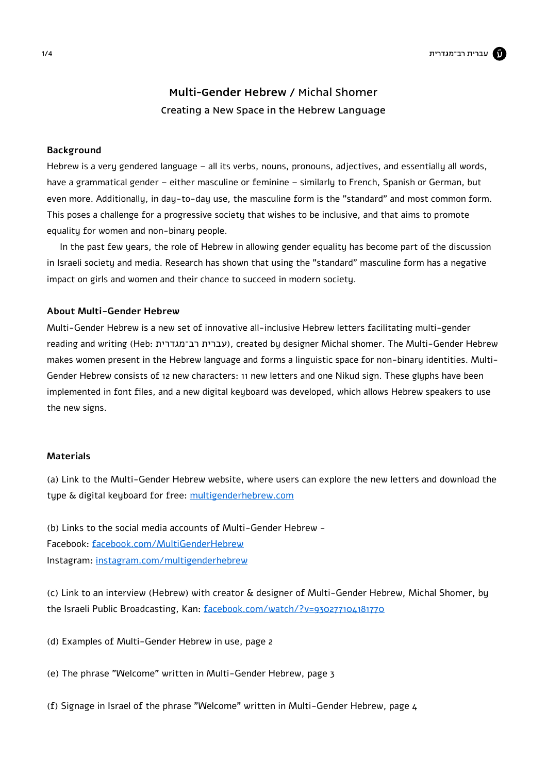

#### **Background**

Hebrew is a very gendered language – all its verbs, nouns, pronouns, adjectives, and essentially all words, have a grammatical gender – either masculine or feminine – similarly to French, Spanish or German, but even more. Additionally, in day-to-day use, the masculine form is the "standard" and most common form. This poses a challenge for a progressive society that wishes to be inclusive, and that aims to promote equality for women and non-binary people.

In the past few years, the role of Hebrew in allowing gender equality has become part of the discussion in Israeli society and media. Research has shown that using the "standard" masculine form has a negative impact on girls and women and their chance to succeed in modern society.

#### **About Multi-Gender Hebrew**

Multi-Gender Hebrew is a new set of innovative all-inclusive Hebrew letters facilitating multi-gender reading and writing (Heb: עברית רב־מגדרית), created by designer Michal shomer. The Multi-Gender Hebrew Gender Hebrew consists of 12 new characters: 11 new letters and one Nikud sign. These glyphs have been makes women present in the Hebrew language and forms a linguistic space for non-binary identities. Multiimplemented in font files, and a new digital keyboard was developed, which allows Hebrew speakers to use the new signs.

#### **Materials**

(a) Link to the Multi-Gender Hebrew website, where users can explore the new letters and download the type & digital keyboard for free: multigenderhebrew.com

(b) Links to the social media accounts of Multi-Gender Hebrew -Facebook: facebook.com/MultiGenderHebrew Instagram: instagram.com/multigenderhebrew

(c) Link to an interview (Hebrew) with creator & designer of Multi-Gender Hebrew, Michal Shomer, by the Israeli Public Broadcasting, Kan: facebook.com/watch/?v=930277104181770

(d) Examples of Multi-Gender Hebrew in use, page 2

(e) The phrase "Welcome" written in Multi-Gender Hebrew, page 3

(f) Signage in Israel of the phrase "Welcome" written in Multi-Gender Hebrew, page  $4$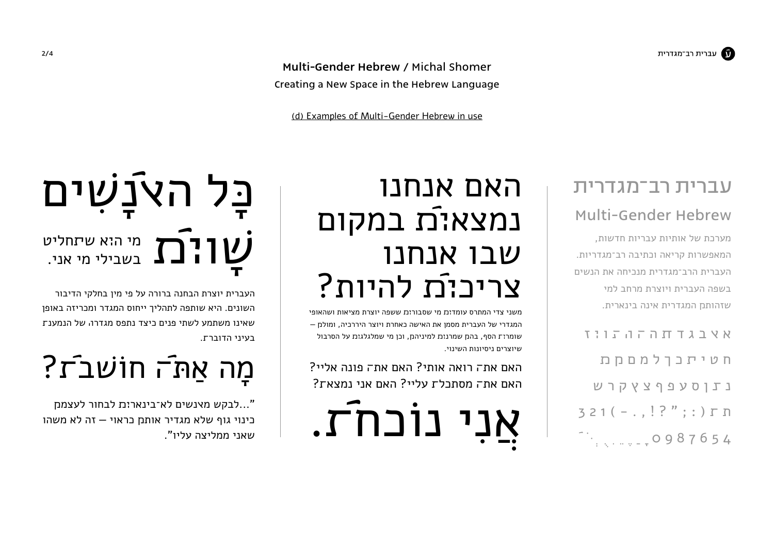(d) Examples of Multi-Gender Hebrew in use

### עברית רב־מגדרית

מערכת של אותיות עבריות חדשות, המאפשרות קריאה וכתיבה רב־מגדריות. העברית הרב־מגדרית מנכיחה את הנשים בשפה העברית ויוצרת מרחב למי שזהות המגדרית אינה בינארית.

 $\mathbf{X} \times \mathbf{X}$  א צ ב ג ד  $\mathbf{\pi}$  ה ה ה ה ה ג ז ז ח ט י כ ך ל מ ם נ ן ס ע פ ף צ ץ ק ר ש  $321 (-, 1? " ; : ) \Gamma D$  $\dddot{a}$   $\dddot{b}$   $\dddot{c}$   $\dddot{c}$   $\dddot{c}$   $\dddot{c}$   $\dddot{c}$   $\ddot{c}$   $\ddot{c}$   $\ddot{c}$   $\ddot{c}$   $\ddot{c}$   $\ddot{c}$   $\ddot{c}$   $\ddot{c}$   $\ddot{c}$   $\ddot{c}$   $\ddot{c}$   $\ddot{c}$   $\ddot{c}$   $\ddot{c}$   $\ddot{c}$   $\ddot{c}$   $\ddot{c}$   $\ddot{$ 

### האם אנחנו נמצא במקום שבו אנחנו צריכ להיות?

משני צדי המתרס עומדים מי שסבורים ששפה יוצרת מציאות ושהאופי המגדרי של העברית מסמן את האישה כאחרת ויוצר היררכיה, ומול — שומר: ז הסף. בהם שמרנות למיניהם. וכו מי שמלגלגות על הסרבול שיוצרים ניסיונות השינוי.

האם אתה רואה אותי? האם אתה פונה אליי? האם אתה מסתכלת עליי? האם אני נמצאת?



### WE שברית רב־מגדרית | האם אנחנו | הבית הבית היה | עברית רב־מגדרית | הואם אנחנו | כל הוא התונים  $\hat{U}$ ן  $\hat{\Gamma}$ ך מי הוא שתחליט  $\hat{U}$ בשבילי מי אני.

העברית יוצרת הבחנה ברורה על פי מין בחלקי הדיבור השונים. היא שותפה לתהליך ייחוס המגדר ומכריזה באופן שאינו משתמע לשתי פנים כיצד נתפס מגדרו<sub>י</sub> של הנמענת בעיני הדובר.

# מָה אַת**ּ־ֿה חוֹשׁב־ז?**<br>״...לבקש מצנשים לא־בינארות לבחור לעצמם

כינוי גוף שלא מגדיר אותם כראוי — זה לא משהו שאני ממליצה עליו".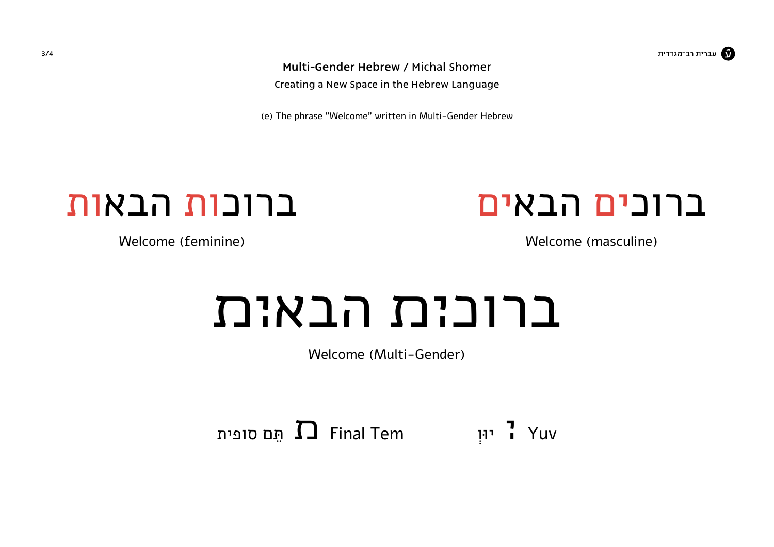

(e) The phrase "Welcome" written in Multi-Gender Hebrew



Welcome (feminine)

ברוכים הבאים

Welcome (masculine)

## ברוכית הבאית

Welcome (Multi-Gender)

### הם סופית  $\bm{\Gamma}$  Final Tem **P** Yuv